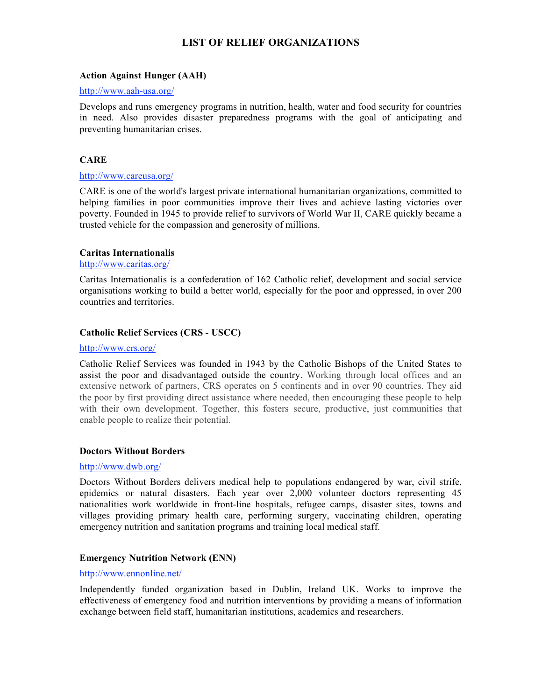# **LIST OF RELIEF ORGANIZATIONS**

## **Action Against Hunger (AAH)**

#### http://www.aah-usa.org/

Develops and runs emergency programs in nutrition, health, water and food security for countries in need. Also provides disaster preparedness programs with the goal of anticipating and preventing humanitarian crises.

## **CARE**

#### http://www.careusa.org/

CARE is one of the world's largest private international humanitarian organizations, committed to helping families in poor communities improve their lives and achieve lasting victories over poverty. Founded in 1945 to provide relief to survivors of World War II, CARE quickly became a trusted vehicle for the compassion and generosity of millions.

## **Caritas Internationalis**

#### http://www.caritas.org/

Caritas Internationalis is a confederation of 162 Catholic relief, development and social service organisations working to build a better world, especially for the poor and oppressed, in over 200 countries and territories.

## **Catholic Relief Services (CRS - USCC)**

#### http://www.crs.org/

Catholic Relief Services was founded in 1943 by the Catholic Bishops of the United States to assist the poor and disadvantaged outside the country. Working through local offices and an extensive network of partners, CRS operates on 5 continents and in over 90 countries. They aid the poor by first providing direct assistance where needed, then encouraging these people to help with their own development. Together, this fosters secure, productive, just communities that enable people to realize their potential.

#### **Doctors Without Borders**

#### http://www.dwb.org/

Doctors Without Borders delivers medical help to populations endangered by war, civil strife, epidemics or natural disasters. Each year over 2,000 volunteer doctors representing 45 nationalities work worldwide in front-line hospitals, refugee camps, disaster sites, towns and villages providing primary health care, performing surgery, vaccinating children, operating emergency nutrition and sanitation programs and training local medical staff.

#### **Emergency Nutrition Network (ENN)**

## http://www.ennonline.net/

Independently funded organization based in Dublin, Ireland UK. Works to improve the effectiveness of emergency food and nutrition interventions by providing a means of information exchange between field staff, humanitarian institutions, academics and researchers.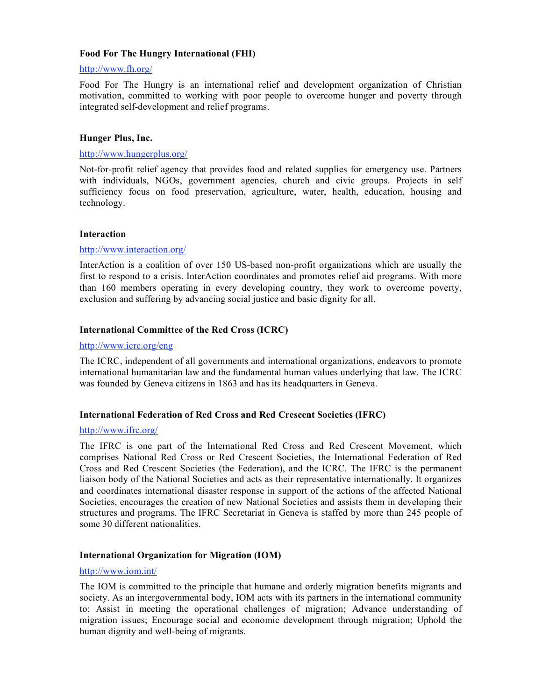## **Food For The Hungry International (FHI)**

# http://www.fh.org/

Food For The Hungry is an international relief and development organization of Christian motivation, committed to working with poor people to overcome hunger and poverty through integrated self-development and relief programs.

## **Hunger Plus, Inc.**

#### http://www.hungerplus.org/

Not-for-profit relief agency that provides food and related supplies for emergency use. Partners with individuals, NGOs, government agencies, church and civic groups. Projects in self sufficiency focus on food preservation, agriculture, water, health, education, housing and technology.

#### **Interaction**

## http://www.interaction.org/

InterAction is a coalition of over 150 US-based non-profit organizations which are usually the first to respond to a crisis. InterAction coordinates and promotes relief aid programs. With more than 160 members operating in every developing country, they work to overcome poverty, exclusion and suffering by advancing social justice and basic dignity for all.

## **International Committee of the Red Cross (ICRC)**

## http://www.icrc.org/eng

The ICRC, independent of all governments and international organizations, endeavors to promote international humanitarian law and the fundamental human values underlying that law. The ICRC was founded by Geneva citizens in 1863 and has its headquarters in Geneva.

## **International Federation of Red Cross and Red Crescent Societies (IFRC)**

#### http://www.ifrc.org/

The IFRC is one part of the International Red Cross and Red Crescent Movement, which comprises National Red Cross or Red Crescent Societies, the International Federation of Red Cross and Red Crescent Societies (the Federation), and the ICRC. The IFRC is the permanent liaison body of the National Societies and acts as their representative internationally. It organizes and coordinates international disaster response in support of the actions of the affected National Societies, encourages the creation of new National Societies and assists them in developing their structures and programs. The IFRC Secretariat in Geneva is staffed by more than 245 people of some 30 different nationalities.

#### **International Organization for Migration (IOM)**

#### http://www.iom.int/

The IOM is committed to the principle that humane and orderly migration benefits migrants and society. As an intergovernmental body, IOM acts with its partners in the international community to: Assist in meeting the operational challenges of migration; Advance understanding of migration issues; Encourage social and economic development through migration; Uphold the human dignity and well-being of migrants.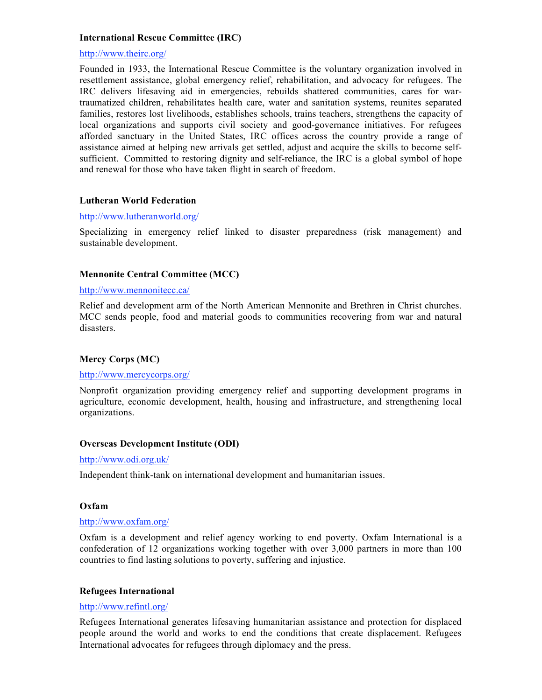## **International Rescue Committee (IRC)**

## http://www.theirc.org/

Founded in 1933, the International Rescue Committee is the voluntary organization involved in resettlement assistance, global emergency relief, rehabilitation, and advocacy for refugees. The IRC delivers lifesaving aid in emergencies, rebuilds shattered communities, cares for wartraumatized children, rehabilitates health care, water and sanitation systems, reunites separated families, restores lost livelihoods, establishes schools, trains teachers, strengthens the capacity of local organizations and supports civil society and good-governance initiatives. For refugees afforded sanctuary in the United States, IRC offices across the country provide a range of assistance aimed at helping new arrivals get settled, adjust and acquire the skills to become selfsufficient. Committed to restoring dignity and self-reliance, the IRC is a global symbol of hope and renewal for those who have taken flight in search of freedom.

#### **Lutheran World Federation**

#### http://www.lutheranworld.org/

Specializing in emergency relief linked to disaster preparedness (risk management) and sustainable development.

## **Mennonite Central Committee (MCC)**

#### http://www.mennonitecc.ca/

Relief and development arm of the North American Mennonite and Brethren in Christ churches. MCC sends people, food and material goods to communities recovering from war and natural disasters.

#### **Mercy Corps (MC)**

#### http://www.mercycorps.org/

Nonprofit organization providing emergency relief and supporting development programs in agriculture, economic development, health, housing and infrastructure, and strengthening local organizations.

#### **Overseas Development Institute (ODI)**

#### http://www.odi.org.uk/

Independent think-tank on international development and humanitarian issues.

#### **Oxfam**

## http://www.oxfam.org/

Oxfam is a development and relief agency working to end poverty. Oxfam International is a confederation of 12 organizations working together with over 3,000 partners in more than 100 countries to find lasting solutions to poverty, suffering and injustice.

#### **Refugees International**

#### http://www.refintl.org/

Refugees International generates lifesaving humanitarian assistance and protection for displaced people around the world and works to end the conditions that create displacement. Refugees International advocates for refugees through diplomacy and the press.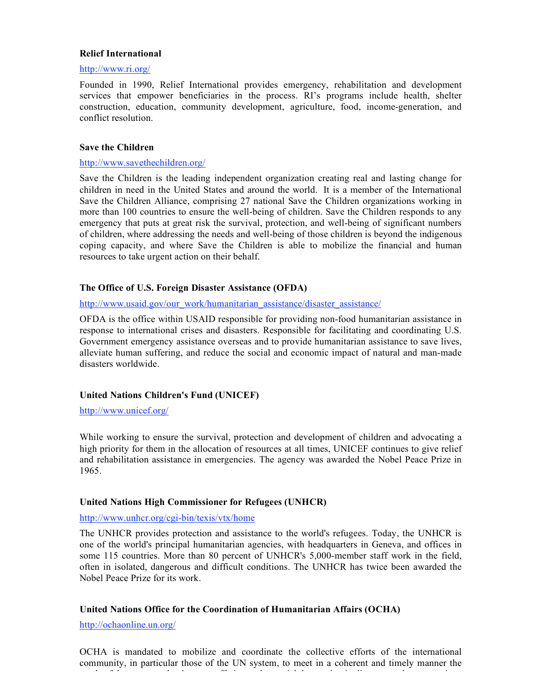## **Relief International**

#### http://www.ri.org/

Founded in 1990, Relief International provides emergency, rehabilitation and development services that empower beneficiaries in the process. RI's programs include health, shelter construction, education, community development, agriculture, food, income-generation, and conflict resolution.

#### **Save the Children**

#### http://www.savethechildren.org/

Save the Children is the leading independent organization creating real and lasting change for children in need in the United States and around the world. It is a member of the International Save the Children Alliance, comprising 27 national Save the Children organizations working in more than 100 countries to ensure the well-being of children. Save the Children responds to any emergency that puts at great risk the survival, protection, and well-being of significant numbers of children, where addressing the needs and well-being of those children is beyond the indigenous coping capacity, and where Save the Children is able to mobilize the financial and human resources to take urgent action on their behalf.

## **The Office of U.S. Foreign Disaster Assistance (OFDA)**

#### http://www.usaid.gov/our\_work/humanitarian\_assistance/disaster\_assistance/

OFDA is the office within USAID responsible for providing non-food humanitarian assistance in response to international crises and disasters. Responsible for facilitating and coordinating U.S. Government emergency assistance overseas and to provide humanitarian assistance to save lives, alleviate human suffering, and reduce the social and economic impact of natural and man-made disasters worldwide.

### **United Nations Children's Fund (UNICEF)**

#### http://www.unicef.org/

While working to ensure the survival, protection and development of children and advocating a high priority for them in the allocation of resources at all times, UNICEF continues to give relief and rehabilitation assistance in emergencies. The agency was awarded the Nobel Peace Prize in 1965.

#### **United Nations High Commissioner for Refugees (UNHCR)**

#### http://www.unhcr.org/cgi-bin/texis/vtx/home

The UNHCR provides protection and assistance to the world's refugees. Today, the UNHCR is one of the world's principal humanitarian agencies, with headquarters in Geneva, and offices in some 115 countries. More than 80 percent of UNHCR's 5,000-member staff work in the field, often in isolated, dangerous and difficult conditions. The UNHCR has twice been awarded the Nobel Peace Prize for its work.

## **United Nations Office for the Coordination of Humanitarian Affairs (OCHA)**

http://ochaonline.un.org/

OCHA is mandated to mobilize and coordinate the collective efforts of the international community, in particular those of the UN system, to meet in a coherent and timely manner the needs of those exposed to human suffering and material destruction in disasters and emergencies.